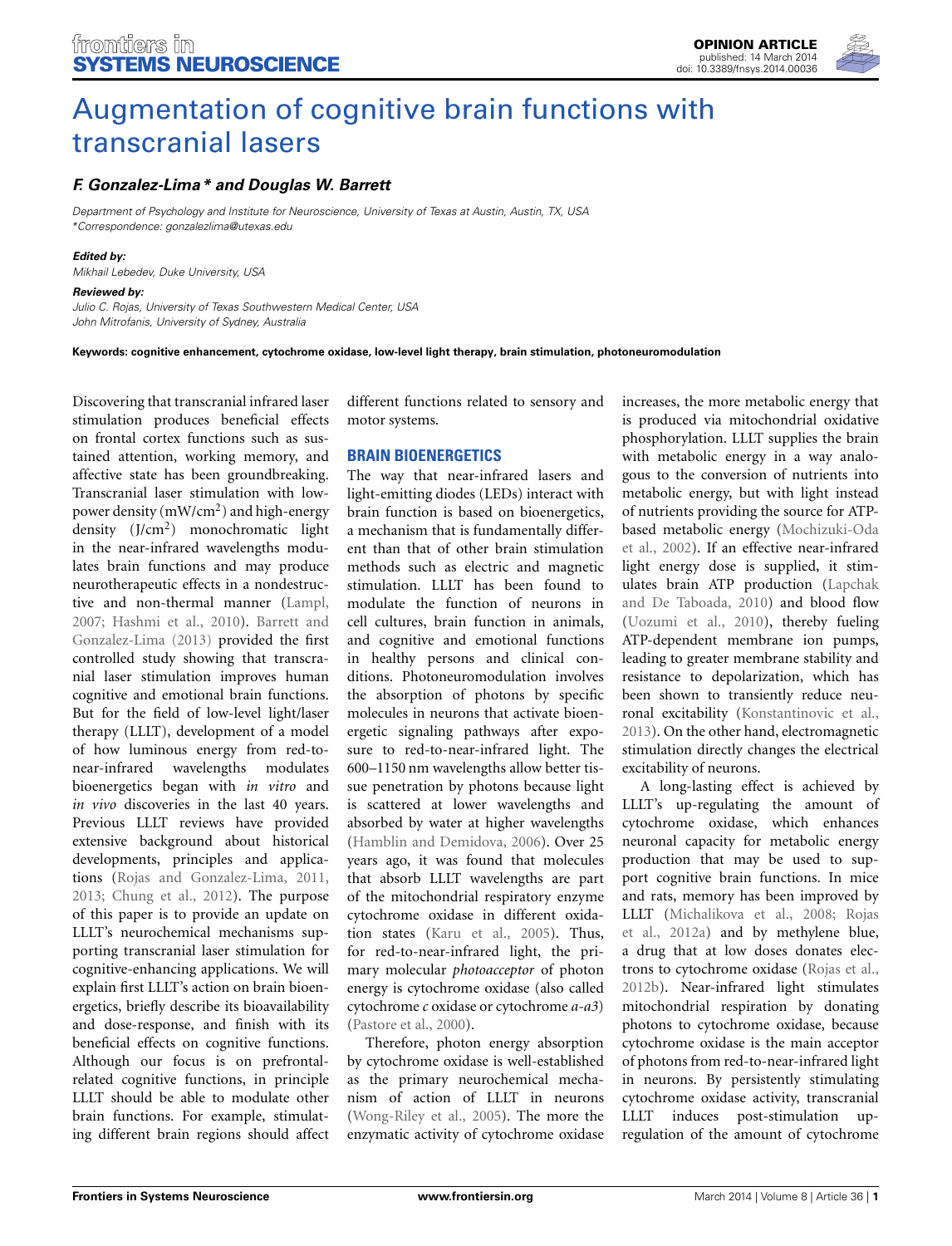

# [Augmentation of cognitive brain functions with](http://www.frontiersin.org/journal/10.3389/fnsys.2014.00036/full) transcranial lasers

# *[F. Gonzalez-Lima](http://community.frontiersin.org/people/u/5195)\* and Douglas W. Barrett*

*Department of Psychology and Institute for Neuroscience, University of Texas at Austin, Austin, TX, USA \*Correspondence: gonzalezlima@utexas.edu*

#### *Edited by:*

*Mikhail Lebedev, Duke University, USA*

#### *Reviewed by:*

*Julio C. Rojas, University of Texas Southwestern Medical Center, USA John Mitrofanis, University of Sydney, Australia*

**Keywords: cognitive enhancement, cytochrome oxidase, low-level light therapy, brain stimulation, photoneuromodulation**

Discovering that transcranial infrared laser stimulation produces beneficial effects on frontal cortex functions such as sustained attention, working memory, and affective state has been groundbreaking. Transcranial laser stimulation with lowpower density  $(mW/cm<sup>2</sup>)$  and high-energy density (J/cm2) monochromatic light in the near-infrared wavelengths modulates brain functions and may produce neurotherapeutic effects in a nondestructive and non-thermal manner [\(Lampl,](#page-2-0) [2007](#page-2-0); [Hashmi et al.](#page-2-1)[,](#page-2-2) [2010](#page-2-1)[\).](#page-2-2) Barrett and Gonzalez-Lima [\(2013](#page-2-2)) provided the first controlled study showing that transcranial laser stimulation improves human cognitive and emotional brain functions. But for the field of low-level light/laser therapy (LLLT), development of a model of how luminous energy from red-tonear-infrared wavelengths modulates bioenergetics began with *in vitro* and *in vivo* discoveries in the last 40 years. Previous LLLT reviews have provided extensive background about historical developments, principles and applications [\(Rojas and Gonzalez-Lima](#page-3-0), [2011,](#page-3-0) [2013](#page-3-1); [Chung et al., 2012](#page-2-3)). The purpose of this paper is to provide an update on LLLT's neurochemical mechanisms supporting transcranial laser stimulation for cognitive-enhancing applications. We will explain first LLLT's action on brain bioenergetics, briefly describe its bioavailability and dose-response, and finish with its beneficial effects on cognitive functions. Although our focus is on prefrontalrelated cognitive functions, in principle LLLT should be able to modulate other brain functions. For example, stimulating different brain regions should affect

different functions related to sensory and motor systems.

## **BRAIN BIOENERGETICS**

The way that near-infrared lasers and light-emitting diodes (LEDs) interact with brain function is based on bioenergetics, a mechanism that is fundamentally different than that of other brain stimulation methods such as electric and magnetic stimulation. LLLT has been found to modulate the function of neurons in cell cultures, brain function in animals, and cognitive and emotional functions in healthy persons and clinical conditions. Photoneuromodulation involves the absorption of photons by specific molecules in neurons that activate bioenergetic signaling pathways after exposure to red-to-near-infrared light. The 600–1150 nm wavelengths allow better tissue penetration by photons because light is scattered at lower wavelengths and absorbed by water at higher wavelengths [\(Hamblin and Demidova, 2006](#page-2-4)). Over 25 years ago, it was found that molecules that absorb LLLT wavelengths are part of the mitochondrial respiratory enzyme cytochrome oxidase in different oxidation states [\(Karu et al.](#page-2-5), [2005](#page-2-5)). Thus, for red-to-near-infrared light, the primary molecular *photoacceptor* of photon energy is cytochrome oxidase (also called cytochrome *c* oxidase or cytochrome *a-a3*) [\(Pastore et al.](#page-3-2), [2000](#page-3-2)).

Therefore, photon energy absorption by cytochrome oxidase is well-established as the primary neurochemical mechanism of action of LLLT in neurons [\(Wong-Riley et al.](#page-3-3), [2005\)](#page-3-3). The more the enzymatic activity of cytochrome oxidase

increases, the more metabolic energy that is produced via mitochondrial oxidative phosphorylation. LLLT supplies the brain with metabolic energy in a way analogous to the conversion of nutrients into metabolic energy, but with light instead of nutrients providing the source for ATPbase[d metabolic energy \(](#page-3-4)Mochizuki-Oda et al., [2002\)](#page-3-4). If an effective near-infrared light energy dose is supplied, it stimulates brain AT[P production \(](#page-3-5)Lapchak and De Taboada, [2010](#page-3-5)) and blood flow [\(Uozumi et al.](#page-3-6), [2010\)](#page-3-6), thereby fueling ATP-dependent membrane ion pumps, leading to greater membrane stability and resistance to depolarization, which has been shown to transiently reduce neuronal excitability [\(Konstantinovic et al.,](#page-2-6) [2013](#page-2-6)). On the other hand, electromagnetic stimulation directly changes the electrical excitability of neurons.

A long-lasting effect is achieved by LLLT's up-regulating the amount of cytochrome oxidase, which enhances neuronal capacity for metabolic energy production that may be used to support cognitive brain functions. In mice and rats, memory has been improved by LLLT [\(Michalikova et al.](#page-3-7)[,](#page-3-8) [2008;](#page-3-7) Rojas et al., [2012a](#page-3-8)) and by methylene blue, a drug that at low doses donates electrons to cytochrome oxidase [\(Rojas et al.,](#page-3-9) [2012b](#page-3-9)). Near-infrared light stimulates mitochondrial respiration by donating photons to cytochrome oxidase, because cytochrome oxidase is the main acceptor of photons from red-to-near-infrared light in neurons. By persistently stimulating cytochrome oxidase activity, transcranial LLLT induces post-stimulation upregulation of the amount of cytochrome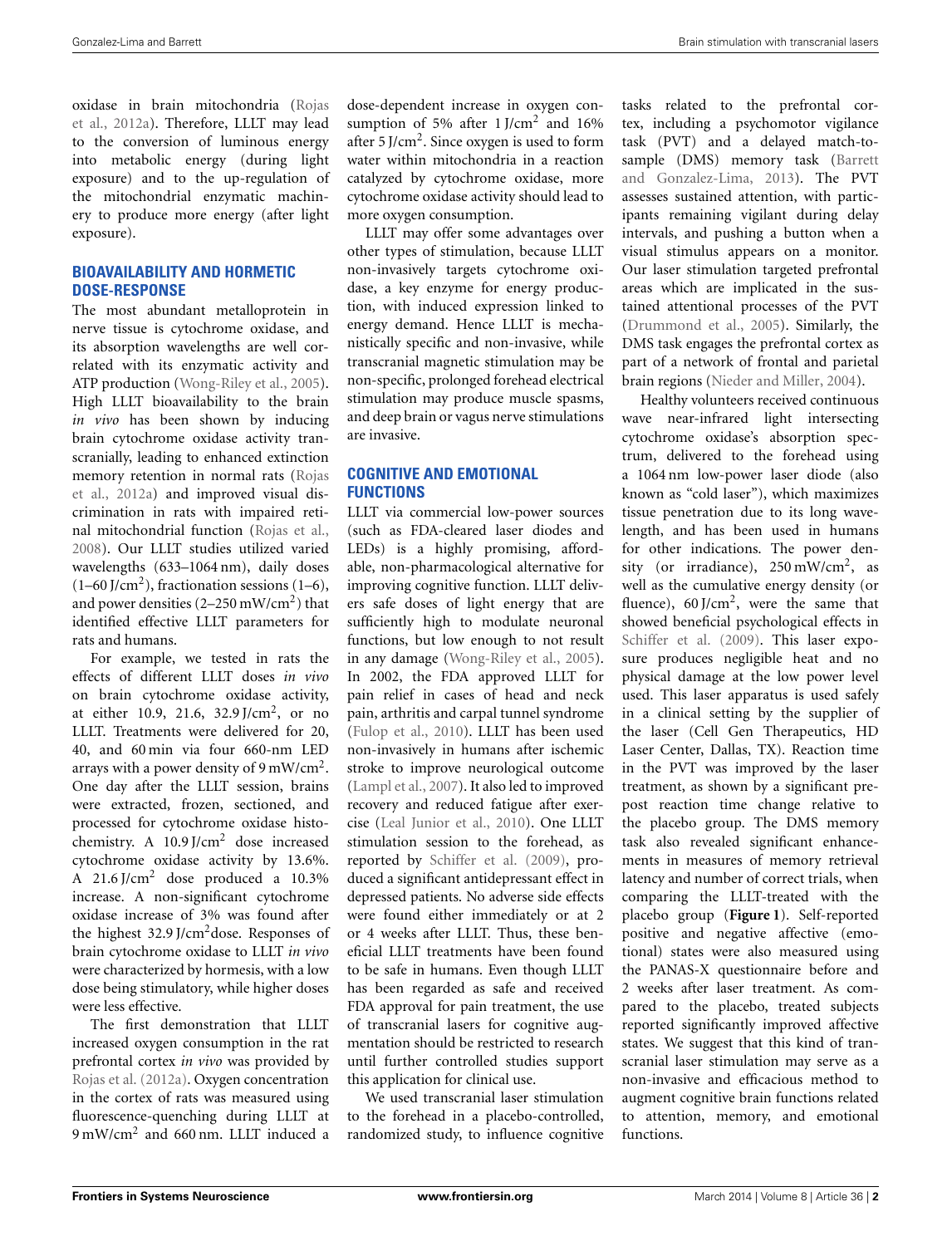oxid[ase in brain mitochondria \(](#page-3-8)Rojas et al., [2012a](#page-3-8)). Therefore, LLLT may lead to the conversion of luminous energy into metabolic energy (during light exposure) and to the up-regulation of the mitochondrial enzymatic machinery to produce more energy (after light exposure).

## **BIOAVAILABILITY AND HORMETIC DOSE-RESPONSE**

The most abundant metalloprotein in nerve tissue is cytochrome oxidase, and its absorption wavelengths are well correlated with its enzymatic activity and ATP production [\(Wong-Riley et al.](#page-3-3), [2005](#page-3-3)). High LLLT bioavailability to the brain *in vivo* has been shown by inducing brain cytochrome oxidase activity transcranially, leading to enhanced extinction mem[ory retention in normal rats \(](#page-3-8)Rojas et al., [2012a](#page-3-8)) and improved visual discrimination in rats with impaired retinal mitochondrial function [\(Rojas et al.,](#page-3-10) [2008](#page-3-10)). Our LLLT studies utilized varied wavelengths (633–1064 nm), daily doses  $(1-60$  J/cm<sup>2</sup>), fractionation sessions  $(1-6)$ , and power densities  $(2-250 \text{ mW/cm}^2)$  that identified effective LLLT parameters for rats and humans.

For example, we tested in rats the effects of different LLLT doses *in vivo* on brain cytochrome oxidase activity, at either 10.9, 21.6, 32.9 J/cm2, or no LLLT. Treatments were delivered for 20, 40, and 60 min via four 660-nm LED arrays with a power density of  $9 \text{ mW/cm}^2$ . One day after the LLLT session, brains were extracted, frozen, sectioned, and processed for cytochrome oxidase histochemistry. A 10.9 J/cm<sup>2</sup> dose increased cytochrome oxidase activity by 13.6%. A 21.6 J/cm<sup>2</sup> dose produced a 10.3% increase. A non-significant cytochrome oxidase increase of 3% was found after the highest 32.9 J/cm2dose. Responses of brain cytochrome oxidase to LLLT *in vivo* were characterized by hormesis, with a low dose being stimulatory, while higher doses were less effective.

The first demonstration that LLLT increased oxygen consumption in the rat prefrontal cortex *in vivo* was provided by [Rojas et al.](#page-3-8) [\(2012a\)](#page-3-8). Oxygen concentration in the cortex of rats was measured using fluorescence-quenching during LLLT at 9 mW/cm<sup>2</sup> and 660 nm. LLLT induced a

dose-dependent increase in oxygen consumption of 5% after  $1$  J/cm<sup>2</sup> and 16% after  $5$  J/cm<sup>2</sup>. Since oxygen is used to form water within mitochondria in a reaction catalyzed by cytochrome oxidase, more cytochrome oxidase activity should lead to more oxygen consumption.

LLLT may offer some advantages over other types of stimulation, because LLLT non-invasively targets cytochrome oxidase, a key enzyme for energy production, with induced expression linked to energy demand. Hence LLLT is mechanistically specific and non-invasive, while transcranial magnetic stimulation may be non-specific, prolonged forehead electrical stimulation may produce muscle spasms, and deep brain or vagus nerve stimulations are invasive.

### **COGNITIVE AND EMOTIONAL FUNCTIONS**

LLLT via commercial low-power sources (such as FDA-cleared laser diodes and LEDs) is a highly promising, affordable, non-pharmacological alternative for improving cognitive function. LLLT delivers safe doses of light energy that are sufficiently high to modulate neuronal functions, but low enough to not result in any damage [\(Wong-Riley et al.](#page-3-3), [2005\)](#page-3-3). In 2002, the FDA approved LLLT for pain relief in cases of head and neck pain, arthritis and carpal tunnel syndrome [\(Fulop et al., 2010\)](#page-2-7). LLLT has been used non-invasively in humans after ischemic stroke to improve neurological outcome [\(Lampl et al.](#page-2-8), [2007\)](#page-2-8). It also led to improved recovery and reduced fatigue after exercise [\(Leal Junior et al.](#page-3-11), [2010\)](#page-3-11). One LLLT stimulation session to the forehead, as reported by [Schiffer et al.](#page-3-12) [\(2009](#page-3-12)), produced a significant antidepressant effect in depressed patients. No adverse side effects were found either immediately or at 2 or 4 weeks after LLLT. Thus, these beneficial LLLT treatments have been found to be safe in humans. Even though LLLT has been regarded as safe and received FDA approval for pain treatment, the use of transcranial lasers for cognitive augmentation should be restricted to research until further controlled studies support this application for clinical use.

We used transcranial laser stimulation to the forehead in a placebo-controlled, randomized study, to influence cognitive

tasks related to the prefrontal cortex, including a psychomotor vigilance task (PVT) and a delayed match-tosample (DMS) m[emory](#page-2-2) [task](#page-2-2) [\(](#page-2-2)Barrett and Gonzalez-Lima, [2013\)](#page-2-2). The PVT assesses sustained attention, with participants remaining vigilant during delay intervals, and pushing a button when a visual stimulus appears on a monitor. Our laser stimulation targeted prefrontal areas which are implicated in the sustained attentional processes of the PVT [\(Drummond et al.](#page-2-9), [2005\)](#page-2-9). Similarly, the DMS task engages the prefrontal cortex as part of a network of frontal and parietal brain regions [\(Nieder and Miller, 2004\)](#page-3-13).

Healthy volunteers received continuous wave near-infrared light intersecting cytochrome oxidase's absorption spectrum, delivered to the forehead using a 1064 nm low-power laser diode (also known as "cold laser"), which maximizes tissue penetration due to its long wavelength, and has been used in humans for other indications. The power density (or irradiance), 250 mW/cm<sup>2</sup>, as well as the cumulative energy density (or fluence),  $60$  J/cm<sup>2</sup>, were the same that showed beneficial psychological effects in [Schiffer et al.](#page-3-12) [\(2009\)](#page-3-12). This laser exposure produces negligible heat and no physical damage at the low power level used. This laser apparatus is used safely in a clinical setting by the supplier of the laser (Cell Gen Therapeutics, HD Laser Center, Dallas, TX). Reaction time in the PVT was improved by the laser treatment, as shown by a significant prepost reaction time change relative to the placebo group. The DMS memory task also revealed significant enhancements in measures of memory retrieval latency and number of correct trials, when comparing the LLLT-treated with the placebo group (**[Figure 1](#page-2-10)**). Self-reported positive and negative affective (emotional) states were also measured using the PANAS-X questionnaire before and 2 weeks after laser treatment. As compared to the placebo, treated subjects reported significantly improved affective states. We suggest that this kind of transcranial laser stimulation may serve as a non-invasive and efficacious method to augment cognitive brain functions related to attention, memory, and emotional functions.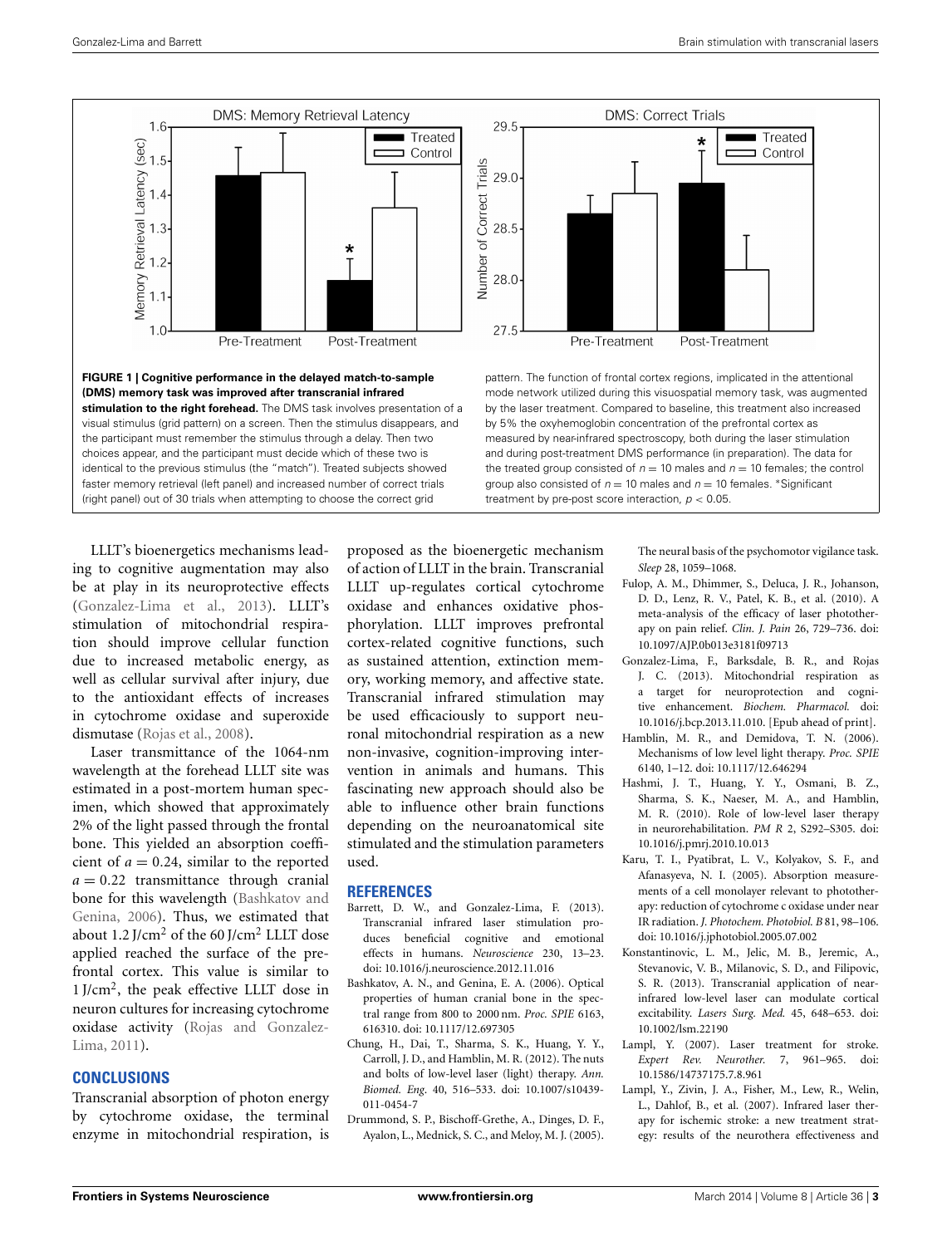

<span id="page-2-10"></span>LLLT's bioenergetics mechanisms leading to cognitive augmentation may also be at play in its neuroprotective effects [\(Gonzalez-Lima et al.](#page-2-11), [2013\)](#page-2-11). LLLT's stimulation of mitochondrial respiration should improve cellular function due to increased metabolic energy, as well as cellular survival after injury, due to the antioxidant effects of increases in cytochrome oxidase and superoxide dismutase [\(Rojas et al., 2008\)](#page-3-10).

Laser transmittance of the 1064-nm wavelength at the forehead LLLT site was estimated in a post-mortem human specimen, which showed that approximately 2% of the light passed through the frontal bone. This yielded an absorption coefficient of  $a = 0.24$ , similar to the reported  $a = 0.22$  transmittance through cranial bone f[or this wavelength \(](#page-2-12)Bashkatov and Genina, [2006](#page-2-12)). Thus, we estimated that about 1.2 J/cm<sup>2</sup> of the 60 J/cm<sup>2</sup> LLLT dose applied reached the surface of the prefrontal cortex. This value is similar to  $1$  J/cm<sup>2</sup>, the peak effective LLLT dose in neuron cultures for increasing cytochrome oxid[ase activity \(](#page-3-0)Rojas and Gonzalez-Lima, [2011](#page-3-0)).

#### **CONCLUSIONS**

Transcranial absorption of photon energy by cytochrome oxidase, the terminal enzyme in mitochondrial respiration, is

proposed as the bioenergetic mechanism of action of LLLT in the brain. Transcranial LLLT up-regulates cortical cytochrome oxidase and enhances oxidative phosphorylation. LLLT improves prefrontal cortex-related cognitive functions, such as sustained attention, extinction memory, working memory, and affective state. Transcranial infrared stimulation may be used efficaciously to support neuronal mitochondrial respiration as a new non-invasive, cognition-improving intervention in animals and humans. This fascinating new approach should also be able to influence other brain functions depending on the neuroanatomical site stimulated and the stimulation parameters used.

#### **REFERENCES**

- <span id="page-2-2"></span>Barrett, D. W., and Gonzalez-Lima, F. (2013). Transcranial infrared laser stimulation produces beneficial cognitive and emotional effects in humans. *Neuroscience* 230, 13–23. doi: 10.1016/j.neuroscience.2012.11.016
- <span id="page-2-12"></span>Bashkatov, A. N., and Genina, E. A. (2006). Optical properties of human cranial bone in the spectral range from 800 to 2000 nm. *Proc. SPIE* 6163, 616310. doi: 10.1117/12.697305
- <span id="page-2-3"></span>Chung, H., Dai, T., Sharma, S. K., Huang, Y. Y., Carroll, J. D., and Hamblin, M. R. (2012). The nuts and bolts of low-level laser (light) therapy. *Ann. Biomed. Eng*. 40, 516–533. doi: 10.1007/s10439- 011-0454-7
- <span id="page-2-9"></span>Drummond, S. P., Bischoff-Grethe, A., Dinges, D. F., Ayalon, L., Mednick, S. C., and Meloy, M. J. (2005).

The neural basis of the psychomotor vigilance task. *Sleep* 28, 1059–1068.

- <span id="page-2-7"></span>Fulop, A. M., Dhimmer, S., Deluca, J. R., Johanson, D. D., Lenz, R. V., Patel, K. B., et al. (2010). A meta-analysis of the efficacy of laser phototherapy on pain relief. *Clin. J. Pain* 26, 729–736. doi: 10.1097/AJP.0b013e3181f09713
- <span id="page-2-11"></span>Gonzalez-Lima, F., Barksdale, B. R., and Rojas J. C. (2013). Mitochondrial respiration as a target for neuroprotection and cognitive enhancement. *Biochem. Pharmacol.* doi: 10.1016/j.bcp.2013.11.010. [Epub ahead of print].
- <span id="page-2-4"></span>Hamblin, M. R., and Demidova, T. N. (2006). Mechanisms of low level light therapy. *Proc. SPIE* 6140, 1–12. doi: 10.1117/12.646294
- <span id="page-2-1"></span>Hashmi, J. T., Huang, Y. Y., Osmani, B. Z., Sharma, S. K., Naeser, M. A., and Hamblin, M. R. (2010). Role of low-level laser therapy in neurorehabilitation. *PM R* 2, S292–S305. doi: 10.1016/j.pmrj.2010.10.013
- <span id="page-2-5"></span>Karu, T. I., Pyatibrat, L. V., Kolyakov, S. F., and Afanasyeva, N. I. (2005). Absorption measurements of a cell monolayer relevant to phototherapy: reduction of cytochrome c oxidase under near IR radiation. *J. Photochem. Photobiol. B* 81, 98–106. doi: 10.1016/j.jphotobiol.2005.07.002
- <span id="page-2-6"></span>Konstantinovic, L. M., Jelic, M. B., Jeremic, A., Stevanovic, V. B., Milanovic, S. D., and Filipovic, S. R. (2013). Transcranial application of nearinfrared low-level laser can modulate cortical excitability. *Lasers Surg. Med.* 45, 648–653. doi: 10.1002/lsm.22190
- <span id="page-2-0"></span>Lampl, Y. (2007). Laser treatment for stroke. *Expert Rev. Neurother.* 7, 961–965. doi: 10.1586/14737175.7.8.961
- <span id="page-2-8"></span>Lampl, Y., Zivin, J. A., Fisher, M., Lew, R., Welin, L., Dahlof, B., et al. (2007). Infrared laser therapy for ischemic stroke: a new treatment strategy: results of the neurothera effectiveness and